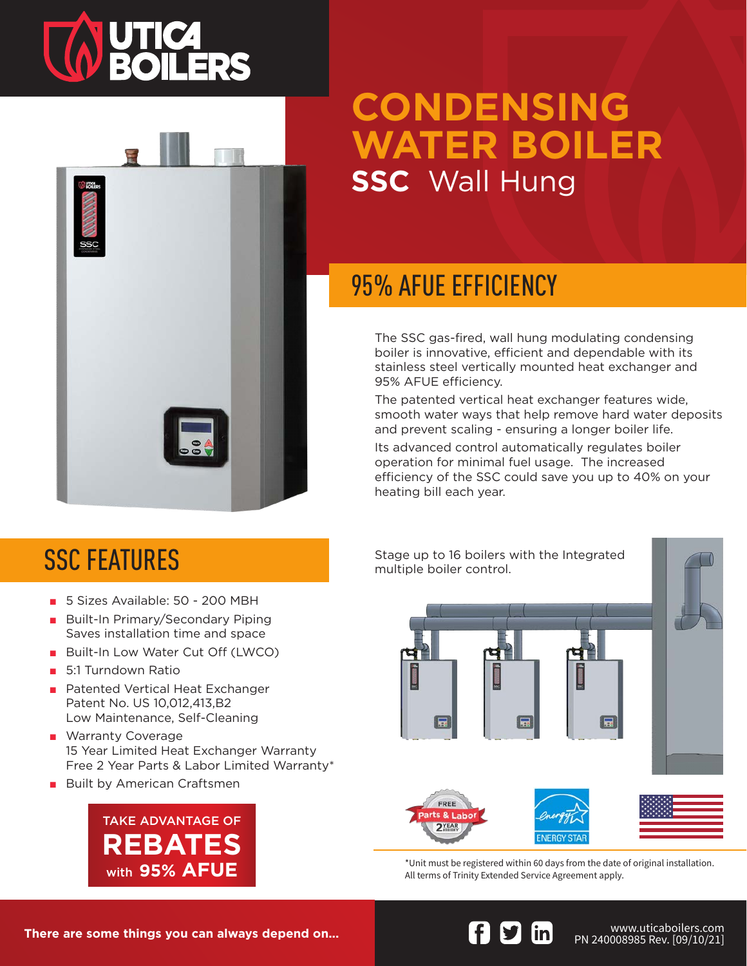# **TA UTICA<br>ROILERS**



# **CONDENSING WATER BOILER SSC** Wall Hung

### 95% AFUE EFFICIENCY

The SSC gas-fired, wall hung modulating condensing boiler is innovative, efficient and dependable with its stainless steel vertically mounted heat exchanger and 95% AFUE efficiency.

The patented vertical heat exchanger features wide, smooth water ways that help remove hard water deposits and prevent scaling - ensuring a longer boiler life.

Its advanced control automatically regulates boiler operation for minimal fuel usage. The increased efficiency of the SSC could save you up to 40% on your heating bill each year.

### SSC FEATURES

- 5 Sizes Available: 50 200 MBH
- Built-In Primary/Secondary Piping Saves installation time and space
- Built-In Low Water Cut Off (LWCO)
- 5:1 Turndown Ratio
- Patented Vertical Heat Exchanger Patent No. US 10,012,413,B2 Low Maintenance, Self-Cleaning
- Warranty Coverage 15 Year Limited Heat Exchanger Warranty Free 2 Year Parts & Labor Limited Warranty\*
- Built by American Craftsmen



Stage up to 16 boilers with the Integrated multiple boiler control.







\*Unit must be registered within 60 days from the date of original installation. All terms of Trinity Extended Service Agreement apply.

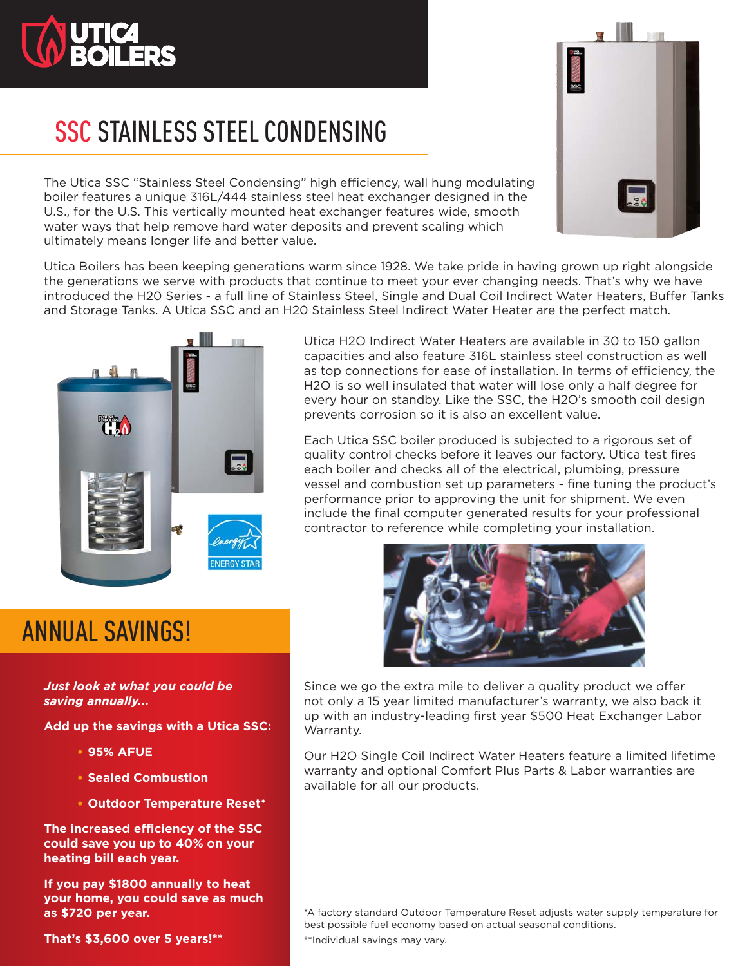

# SSC STAINLESS STEEL CONDENSING

The Utica SSC "Stainless Steel Condensing" high efficiency, wall hung modulating boiler features a unique 316L/444 stainless steel heat exchanger designed in the U.S., for the U.S. This vertically mounted heat exchanger features wide, smooth water ways that help remove hard water deposits and prevent scaling which ultimately means longer life and better value.

Utica Boilers has been keeping generations warm since 1928. We take pride in having grown up right alongside the generations we serve with products that continue to meet your ever changing needs. That's why we have introduced the H20 Series - a full line of Stainless Steel, Single and Dual Coil Indirect Water Heaters, Buffer Tanks and Storage Tanks. A Utica SSC and an H20 Stainless Steel Indirect Water Heater are the perfect match.



Utica H2O Indirect Water Heaters are available in 30 to 150 gallon capacities and also feature 316L stainless steel construction as well as top connections for ease of installation. In terms of efficiency, the H2O is so well insulated that water will lose only a half degree for every hour on standby. Like the SSC, the H2O's smooth coil design prevents corrosion so it is also an excellent value.

Each Utica SSC boiler produced is subjected to a rigorous set of quality control checks before it leaves our factory. Utica test fires each boiler and checks all of the electrical, plumbing, pressure vessel and combustion set up parameters - fine tuning the product's performance prior to approving the unit for shipment. We even include the final computer generated results for your professional contractor to reference while completing your installation.



### ANNUAL SAVINGS!

*Just look at what you could be saving annually...*

**Add up the savings with a Utica SSC:**

- **95% AFUE**
- **Sealed Combustion**
- **Outdoor Temperature Reset\***

**The increased efficiency of the SSC could save you up to 40% on your heating bill each year.**

**If you pay \$1800 annually to heat your home, you could save as much as \$720 per year.**

**That's \$3,600 over 5 years!\*\***

Since we go the extra mile to deliver a quality product we offer not only a 15 year limited manufacturer's warranty, we also back it up with an industry-leading first year \$500 Heat Exchanger Labor Warranty.

Our H2O Single Coil Indirect Water Heaters feature a limited lifetime warranty and optional Comfort Plus Parts & Labor warranties are available for all our products.

\*A factory standard Outdoor Temperature Reset adjusts water supply temperature for best possible fuel economy based on actual seasonal conditions. \*\*Individual savings may vary.

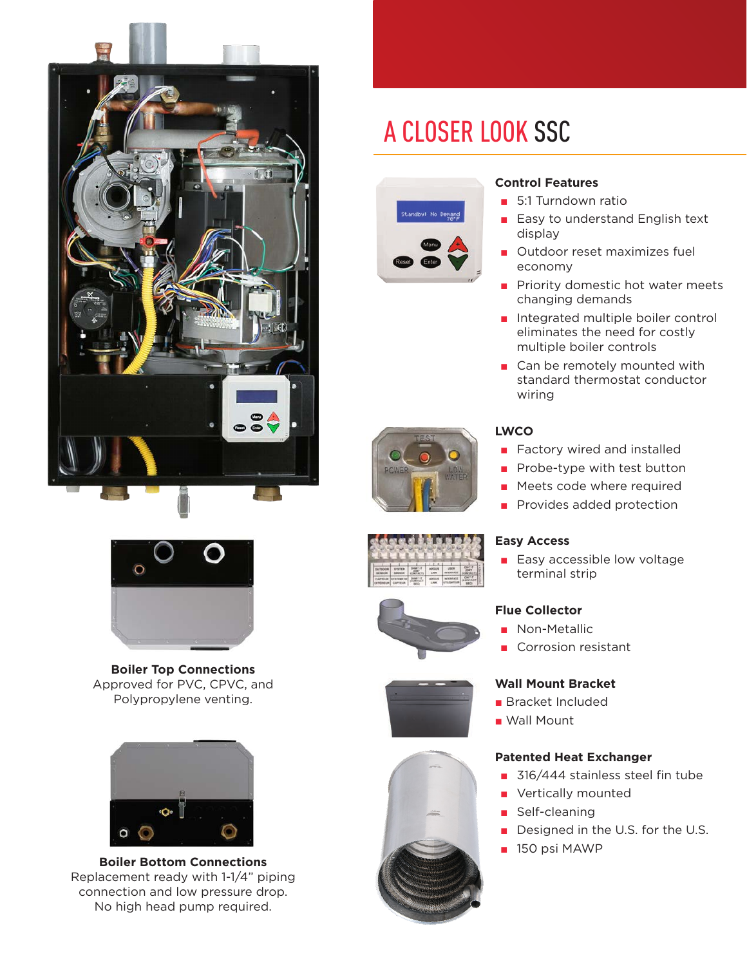



**Boiler Top Connections** Approved for PVC, CPVC, and Polypropylene venting.



**Boiler Bottom Connections** Replacement ready with 1-1/4" piping connection and low pressure drop. No high head pump required.

### A CLOSER LOOK SSC



#### **Control Features**

- 5:1 Turndown ratio
- Easy to understand English text display
- Outdoor reset maximizes fuel economy
- Priority domestic hot water meets changing demands
- Integrated multiple boiler control eliminates the need for costly multiple boiler controls
- Can be remotely mounted with standard thermostat conductor wiring

#### **LWCO**

- Factory wired and installed
- Probe-type with test button
- Meets code where required
- Provides added protection

#### **Easy Access**

■ Easy accessible low voltage terminal strip

#### **Flue Collector**

- Non-Metallic
- Corrosion resistant

#### **Wall Mount Bracket**

- Bracket Included
- Wall Mount

#### **Patented Heat Exchanger**

- 316/444 stainless steel fin tube
- Vertically mounted
- Self-cleaning
- Designed in the U.S. for the U.S.
- 150 psi MAWP